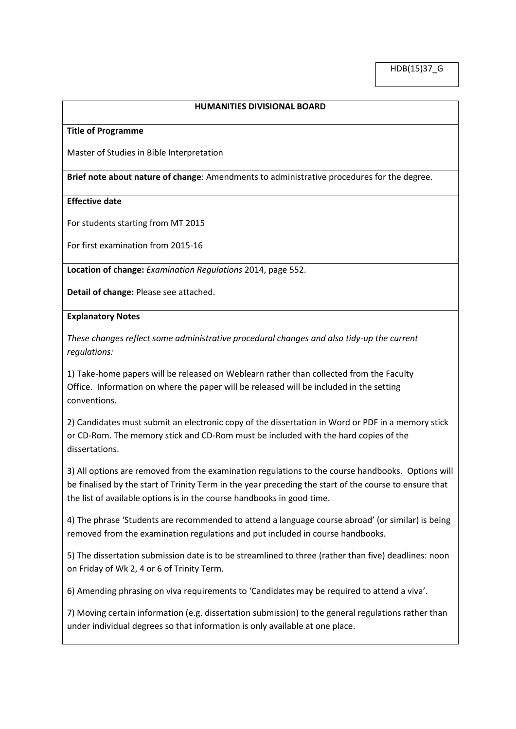## **HUMANITIES DIVISIONAL BOARD**

#### **Title of Programme**

Master of Studies in Bible Interpretation

**Brief note about nature of change**: Amendments to administrative procedures for the degree.

### **Effective date**

For students starting from MT 2015

For first examination from 2015-16

**Location of change:** *Examination Regulations* 2014, page 552.

**Detail of change:** Please see attached.

### **Explanatory Notes**

*These changes reflect some administrative procedural changes and also tidy-up the current regulations:*

1) Take-home papers will be released on Weblearn rather than collected from the Faculty Office. Information on where the paper will be released will be included in the setting conventions.

2) Candidates must submit an electronic copy of the dissertation in Word or PDF in a memory stick or CD-Rom. The memory stick and CD-Rom must be included with the hard copies of the dissertations.

3) All options are removed from the examination regulations to the course handbooks. Options will be finalised by the start of Trinity Term in the year preceding the start of the course to ensure that the list of available options is in the course handbooks in good time.

4) The phrase 'Students are recommended to attend a language course abroad' (or similar) is being removed from the examination regulations and put included in course handbooks.

5) The dissertation submission date is to be streamlined to three (rather than five) deadlines: noon on Friday of Wk 2, 4 or 6 of Trinity Term.

6) Amending phrasing on viva requirements to 'Candidates may be required to attend a viva'.

7) Moving certain information (e.g. dissertation submission) to the general regulations rather than under individual degrees so that information is only available at one place.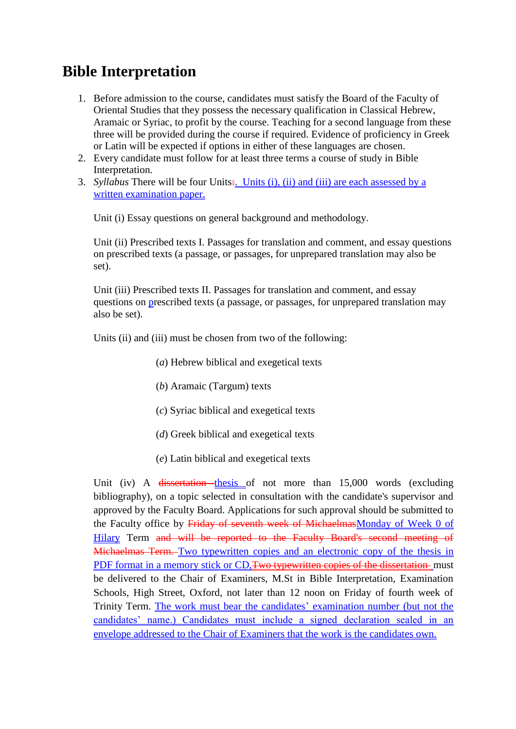# **Bible Interpretation**

- 1. Before admission to the course, candidates must satisfy the Board of the Faculty of Oriental Studies that they possess the necessary qualification in Classical Hebrew, Aramaic or Syriac, to profit by the course. Teaching for a second language from these three will be provided during the course if required. Evidence of proficiency in Greek or Latin will be expected if options in either of these languages are chosen.
- 2. Every candidate must follow for at least three terms a course of study in Bible Interpretation.
- 3. *Syllabus* There will be four Units: Units (i), (ii) and (iii) are each assessed by a written examination paper.

Unit (i) Essay questions on general background and methodology.

Unit (ii) Prescribed texts I. Passages for translation and comment, and essay questions on prescribed texts (a passage, or passages, for unprepared translation may also be set).

Unit (iii) Prescribed texts II. Passages for translation and comment, and essay questions on prescribed texts (a passage, or passages, for unprepared translation may also be set).

Units (ii) and (iii) must be chosen from two of the following:

- (*a*) Hebrew biblical and exegetical texts
- (*b*) Aramaic (Targum) texts
- (*c*) Syriac biblical and exegetical texts
- (*d*) Greek biblical and exegetical texts
- (*e*) Latin biblical and exegetical texts

Unit (iv) A dissertation thesis of not more than 15,000 words (excluding bibliography), on a topic selected in consultation with the candidate's supervisor and approved by the Faculty Board. Applications for such approval should be submitted to the Faculty office by Friday of seventh week of MichaelmasMonday of Week 0 of Hilary Term and will be reported to the Faculty Board's second meeting of Michaelmas Term. Two typewritten copies and an electronic copy of the thesis in PDF format in a memory stick or CD, Two typewritten copies of the dissertation must be delivered to the Chair of Examiners, M.St in Bible Interpretation, Examination Schools, High Street, Oxford, not later than 12 noon on Friday of fourth week of Trinity Term. The work must bear the candidates' examination number (but not the candidates' name.) Candidates must include a signed declaration sealed in an envelope addressed to the Chair of Examiners that the work is the candidates own.